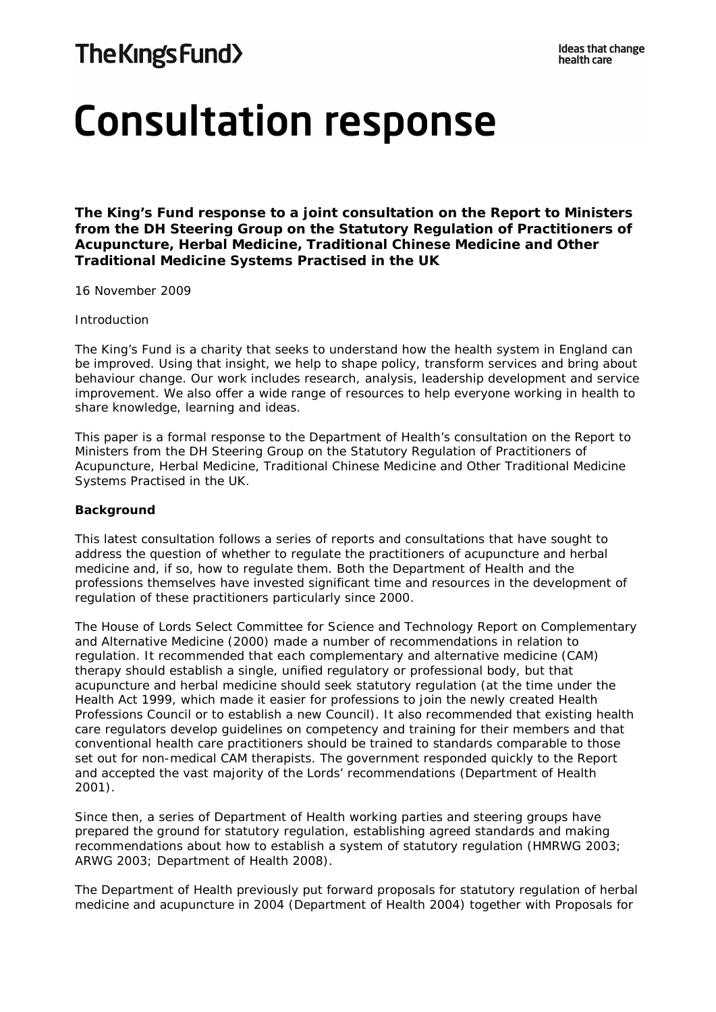# The Kings Fund>

# **Consultation response**

**The King's Fund response to a joint consultation on the Report to Ministers from the DH Steering Group on the Statutory Regulation of Practitioners of Acupuncture, Herbal Medicine, Traditional Chinese Medicine and Other Traditional Medicine Systems Practised in the UK**

16 November 2009

#### *Introduction*

The King's Fund is a charity that seeks to understand how the health system in England can be improved. Using that insight, we help to shape policy, transform services and bring about behaviour change. Our work includes research, analysis, leadership development and service improvement. We also offer a wide range of resources to help everyone working in health to share knowledge, learning and ideas.

This paper is a formal response to the Department of Health's consultation on the Report to Ministers from the DH Steering Group on the Statutory Regulation of Practitioners of Acupuncture, Herbal Medicine, Traditional Chinese Medicine and Other Traditional Medicine Systems Practised in the UK.

#### **Background**

This latest consultation follows a series of reports and consultations that have sought to address the question of whether to regulate the practitioners of acupuncture and herbal medicine and, if so, how to regulate them. Both the Department of Health and the professions themselves have invested significant time and resources in the development of regulation of these practitioners particularly since 2000.

The House of Lords Select Committee for Science and Technology Report on Complementary and Alternative Medicine (2000) made a number of recommendations in relation to regulation. It recommended that each complementary and alternative medicine (CAM) therapy should establish a single, unified regulatory or professional body, but that acupuncture and herbal medicine should seek statutory regulation (at the time under the Health Act 1999, which made it easier for professions to join the newly created Health Professions Council or to establish a new Council). It also recommended that existing health care regulators develop guidelines on competency and training for their members and that conventional health care practitioners should be trained to standards comparable to those set out for non-medical CAM therapists. The government responded quickly to the Report and accepted the vast majority of the Lords' recommendations (Department of Health 2001).

Since then, a series of Department of Health working parties and steering groups have prepared the ground for statutory regulation, establishing agreed standards and making recommendations about how to establish a system of statutory regulation (HMRWG 2003; ARWG 2003; Department of Health 2008).

The Department of Health previously put forward proposals for statutory regulation of herbal medicine and acupuncture in 2004 (Department of Health 2004) together with *Proposals for*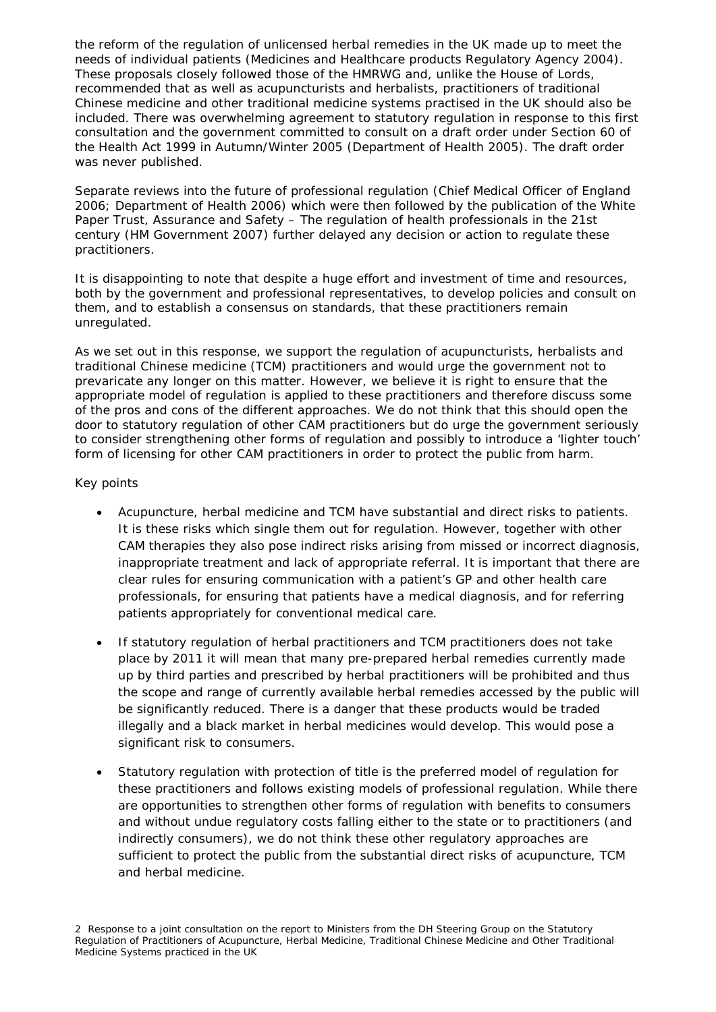*the reform of the regulation of unlicensed herbal remedies in the UK made up to meet the needs of individual patients* (Medicines and Healthcare products Regulatory Agency 2004). These proposals closely followed those of the HMRWG and, unlike the House of Lords, recommended that as well as acupuncturists and herbalists, practitioners of traditional Chinese medicine and other traditional medicine systems practised in the UK should also be included. There was overwhelming agreement to statutory regulation in response to this first consultation and the government committed to consult on a draft order under Section 60 of the Health Act 1999 in Autumn/Winter 2005 (Department of Health 2005). The draft order was never published.

Separate reviews into the future of professional regulation (Chief Medical Officer of England 2006; Department of Health 2006) which were then followed by the publication of the White Paper *Trust, Assurance and Safety – The regulation of health professionals in the 21st century* (HM Government 2007) further delayed any decision or action to regulate these practitioners.

It is disappointing to note that despite a huge effort and investment of time and resources, both by the government and professional representatives, to develop policies and consult on them, and to establish a consensus on standards, that these practitioners remain unregulated.

As we set out in this response, we support the regulation of acupuncturists, herbalists and traditional Chinese medicine (TCM) practitioners and would urge the government not to prevaricate any longer on this matter. However, we believe it is right to ensure that the appropriate model of regulation is applied to these practitioners and therefore discuss some of the pros and cons of the different approaches. We do not think that this should open the door to statutory regulation of other CAM practitioners but do urge the government seriously to consider strengthening other forms of regulation and possibly to introduce a 'lighter touch' form of licensing for other CAM practitioners in order to protect the public from harm.

# *Key points*

- Acupuncture, herbal medicine and TCM have substantial and direct risks to patients. It is these risks which single them out for regulation. However, together with other CAM therapies they also pose indirect risks arising from missed or incorrect diagnosis, inappropriate treatment and lack of appropriate referral. It is important that there are clear rules for ensuring communication with a patient's GP and other health care professionals, for ensuring that patients have a medical diagnosis, and for referring patients appropriately for conventional medical care.
- If statutory regulation of herbal practitioners and TCM practitioners does not take place by 2011 it will mean that many pre-prepared herbal remedies currently made up by third parties and prescribed by herbal practitioners will be prohibited and thus the scope and range of currently available herbal remedies accessed by the public will be significantly reduced. There is a danger that these products would be traded illegally and a black market in herbal medicines would develop. This would pose a significant risk to consumers.
- Statutory regulation with protection of title is the preferred model of regulation for these practitioners and follows existing models of professional regulation. While there are opportunities to strengthen other forms of regulation with benefits to consumers and without undue regulatory costs falling either to the state or to practitioners (and indirectly consumers), we do not think these other regulatory approaches are sufficient to protect the public from the substantial direct risks of acupuncture, TCM and herbal medicine.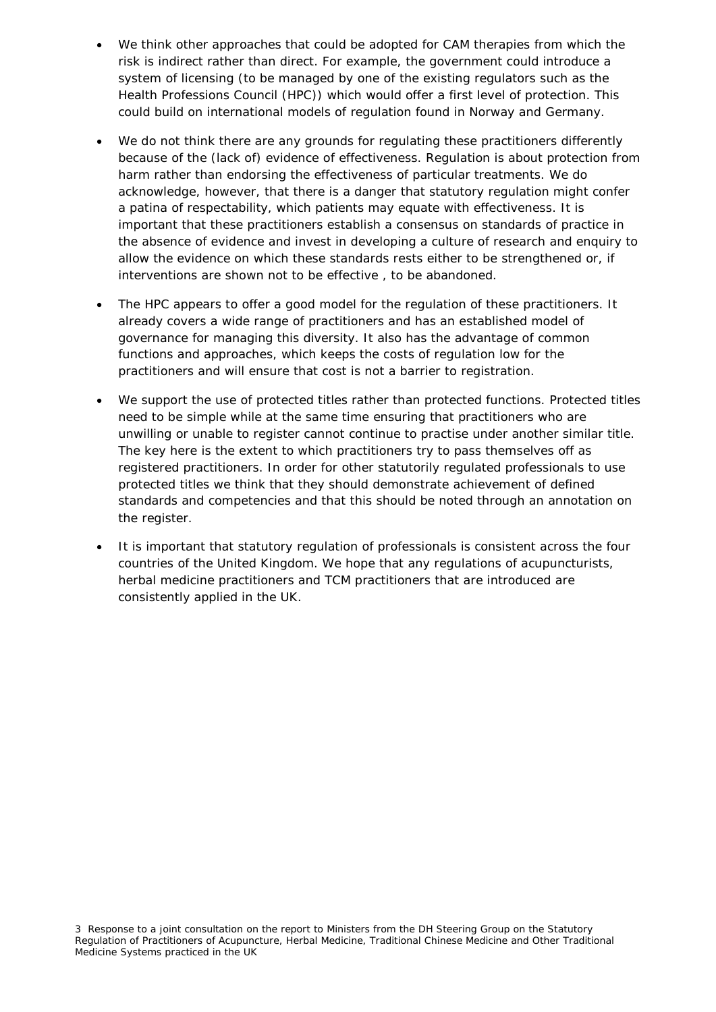- We think other approaches that could be adopted for CAM therapies from which the risk is indirect rather than direct. For example, the government could introduce a system of licensing (to be managed by one of the existing regulators such as the Health Professions Council (HPC)) which would offer a first level of protection. This could build on international models of regulation found in Norway and Germany.
- We do not think there are any grounds for regulating these practitioners differently because of the (lack of) evidence of effectiveness. Regulation is about protection from harm rather than endorsing the effectiveness of particular treatments. We do acknowledge, however, that there is a danger that statutory regulation might confer a patina of respectability, which patients may equate with effectiveness. It is important that these practitioners establish a consensus on standards of practice in the absence of evidence and invest in developing a culture of research and enquiry to allow the evidence on which these standards rests either to be strengthened or, if interventions are shown not to be effective , to be abandoned.
- The HPC appears to offer a good model for the regulation of these practitioners. It already covers a wide range of practitioners and has an established model of governance for managing this diversity. It also has the advantage of common functions and approaches, which keeps the costs of regulation low for the practitioners and will ensure that cost is not a barrier to registration.
- We support the use of protected titles rather than protected functions. Protected titles need to be simple while at the same time ensuring that practitioners who are unwilling or unable to register cannot continue to practise under another similar title. The key here is the extent to which practitioners try to pass themselves off as registered practitioners. In order for other statutorily regulated professionals to use protected titles we think that they should demonstrate achievement of defined standards and competencies and that this should be noted through an annotation on the register.
- It is important that statutory regulation of professionals is consistent across the four countries of the United Kingdom. We hope that any regulations of acupuncturists, herbal medicine practitioners and TCM practitioners that are introduced are consistently applied in the UK.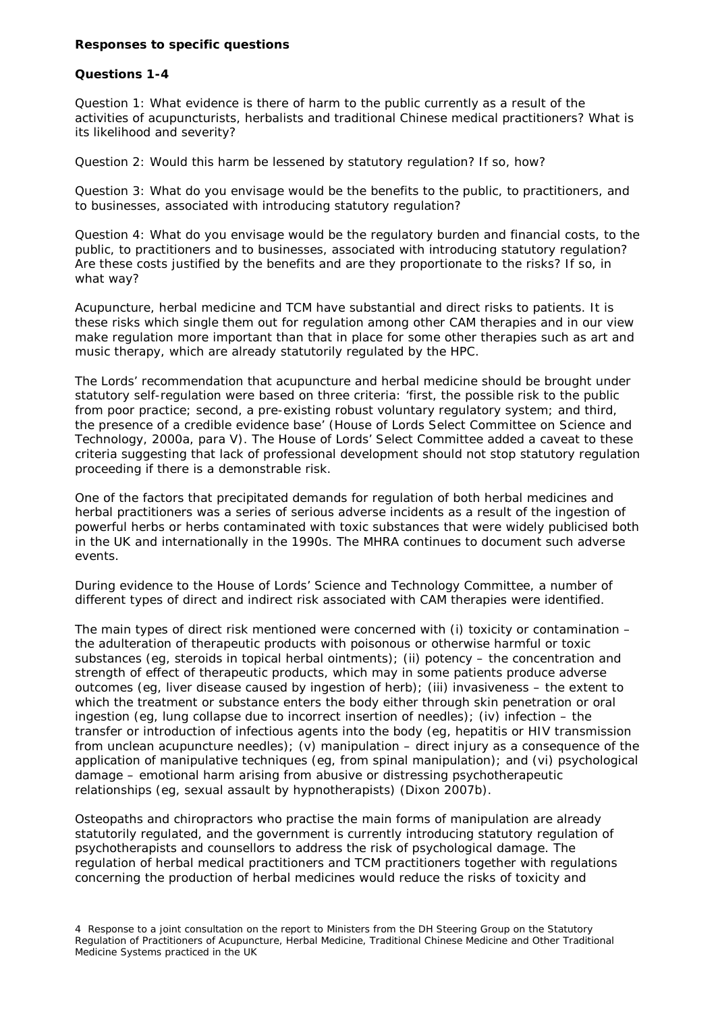#### **Responses to specific questions**

#### **Questions 1-4**

Question 1: What evidence is there of harm to the public currently as a result of the activities of acupuncturists, herbalists and traditional Chinese medical practitioners? What is its likelihood and severity?

Question 2: Would this harm be lessened by statutory regulation? If so, how?

Question 3: What do you envisage would be the benefits to the public, to practitioners, and to businesses, associated with introducing statutory regulation?

Question 4: What do you envisage would be the regulatory burden and financial costs, to the public, to practitioners and to businesses, associated with introducing statutory regulation? Are these costs justified by the benefits and are they proportionate to the risks? If so, in what way?

Acupuncture, herbal medicine and TCM have substantial and direct risks to patients. It is these risks which single them out for regulation among other CAM therapies and in our view make regulation more important than that in place for some other therapies such as art and music therapy, which are already statutorily regulated by the HPC.

The Lords' recommendation that acupuncture and herbal medicine should be brought under statutory self-regulation were based on three criteria: 'first, the possible risk to the public from poor practice; second, a pre-existing robust voluntary regulatory system; and third, the presence of a credible evidence base' (House of Lords Select Committee on Science and Technology, 2000a, para V). The House of Lords' Select Committee added a caveat to these criteria suggesting that lack of professional development should not stop statutory regulation proceeding if there is a demonstrable risk.

One of the factors that precipitated demands for regulation of both herbal medicines and herbal practitioners was a series of serious adverse incidents as a result of the ingestion of powerful herbs or herbs contaminated with toxic substances that were widely publicised both in the UK and internationally in the 1990s. The MHRA continues to document such adverse events.

During evidence to the House of Lords' Science and Technology Committee, a number of different types of direct and indirect risk associated with CAM therapies were identified.

The main types of direct risk mentioned were concerned with (i) toxicity or contamination – the adulteration of therapeutic products with poisonous or otherwise harmful or toxic substances (eg, steroids in topical herbal ointments); (ii) potency – the concentration and strength of effect of therapeutic products, which may in some patients produce adverse outcomes (eg, liver disease caused by ingestion of herb); (iii) invasiveness – the extent to which the treatment or substance enters the body either through skin penetration or oral ingestion (eg, lung collapse due to incorrect insertion of needles); (iv) infection – the transfer or introduction of infectious agents into the body (eg, hepatitis or HIV transmission from unclean acupuncture needles); (v) manipulation  $-$  direct injury as a consequence of the application of manipulative techniques (eg, from spinal manipulation); and (vi) psychological damage – emotional harm arising from abusive or distressing psychotherapeutic relationships (eg, sexual assault by hypnotherapists) (Dixon 2007b).

Osteopaths and chiropractors who practise the main forms of manipulation are already statutorily regulated, and the government is currently introducing statutory regulation of psychotherapists and counsellors to address the risk of psychological damage. The regulation of herbal medical practitioners and TCM practitioners together with regulations concerning the production of herbal medicines would reduce the risks of toxicity and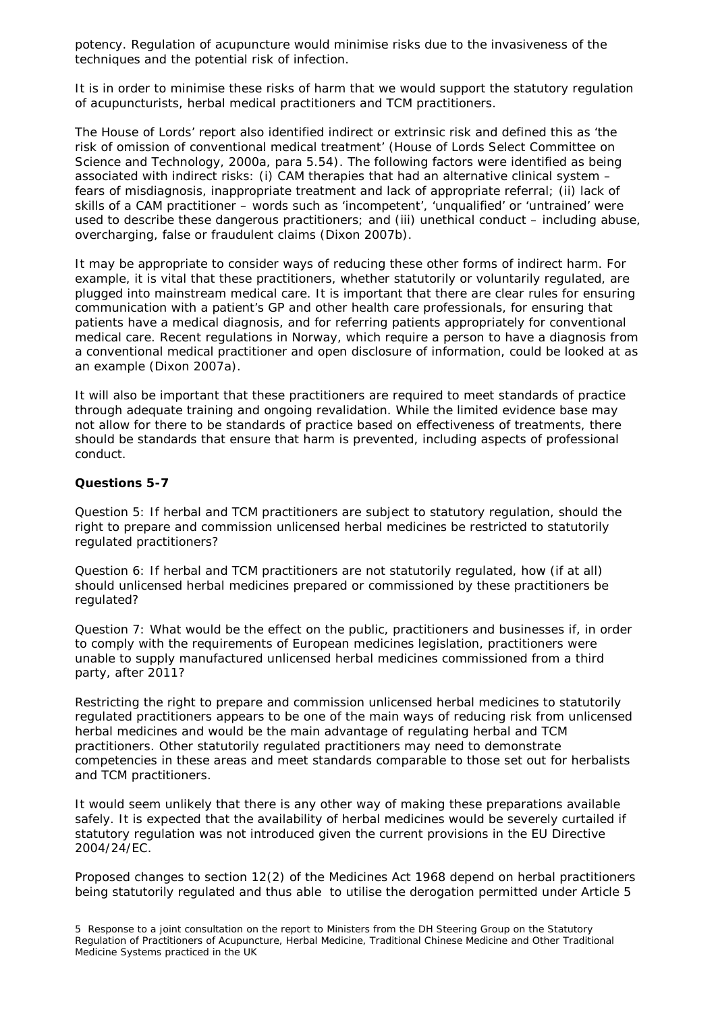potency. Regulation of acupuncture would minimise risks due to the invasiveness of the techniques and the potential risk of infection.

It is in order to minimise these risks of harm that we would support the statutory regulation of acupuncturists, herbal medical practitioners and TCM practitioners.

The House of Lords' report also identified indirect or extrinsic risk and defined this as 'the risk of omission of conventional medical treatment' (House of Lords Select Committee on Science and Technology, 2000a, para 5.54). The following factors were identified as being associated with indirect risks: (i) CAM therapies that had an alternative clinical system – fears of misdiagnosis, inappropriate treatment and lack of appropriate referral; (ii) lack of skills of a CAM practitioner – words such as 'incompetent', 'unqualified' or 'untrained' were used to describe these dangerous practitioners; and (iii) unethical conduct – including abuse, overcharging, false or fraudulent claims (Dixon 2007b).

It may be appropriate to consider ways of reducing these other forms of indirect harm. For example, it is vital that these practitioners, whether statutorily or voluntarily regulated, are plugged into mainstream medical care. It is important that there are clear rules for ensuring communication with a patient's GP and other health care professionals, for ensuring that patients have a medical diagnosis, and for referring patients appropriately for conventional medical care. Recent regulations in Norway, which require a person to have a diagnosis from a conventional medical practitioner and open disclosure of information, could be looked at as an example (Dixon 2007a).

It will also be important that these practitioners are required to meet standards of practice through adequate training and ongoing revalidation. While the limited evidence base may not allow for there to be standards of practice based on effectiveness of treatments, there should be standards that ensure that harm is prevented, including aspects of professional conduct.

#### **Questions 5-7**

Question 5: If herbal and TCM practitioners are subject to statutory regulation, should the right to prepare and commission unlicensed herbal medicines be restricted to statutorily regulated practitioners?

Question 6: If herbal and TCM practitioners are not statutorily regulated, how (if at all) should unlicensed herbal medicines prepared or commissioned by these practitioners be regulated?

Question 7: What would be the effect on the public, practitioners and businesses if, in order to comply with the requirements of European medicines legislation, practitioners were unable to supply manufactured unlicensed herbal medicines commissioned from a third party, after 2011?

Restricting the right to prepare and commission unlicensed herbal medicines to statutorily regulated practitioners appears to be one of the main ways of reducing risk from unlicensed herbal medicines and would be the main advantage of regulating herbal and TCM practitioners. Other statutorily regulated practitioners may need to demonstrate competencies in these areas and meet standards comparable to those set out for herbalists and TCM practitioners.

It would seem unlikely that there is any other way of making these preparations available safely. It is expected that the availability of herbal medicines would be severely curtailed if statutory regulation was not introduced given the current provisions in the EU Directive 2004/24/EC.

Proposed changes to section 12(2) of the Medicines Act 1968 depend on herbal practitioners being statutorily regulated and thus able to utilise the derogation permitted under Article 5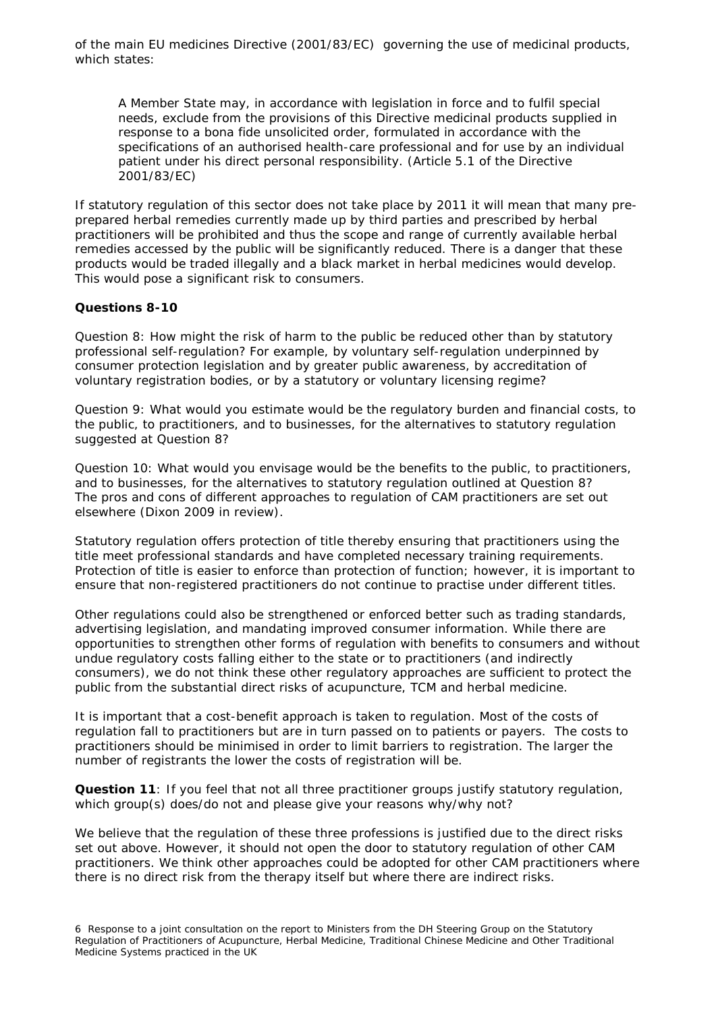of the main EU medicines Directive (2001/83/EC) governing the use of medicinal products, which states:

*A Member State may, in accordance with legislation in force and to fulfil special needs, exclude from the provisions of this Directive medicinal products supplied in response to a bona fide unsolicited order, formulated in accordance with the specifications of an authorised health-care professional and for use by an individual patient under his direct personal responsibility. (Article 5.1 of the Directive 2001/83/EC)*

If statutory regulation of this sector does not take place by 2011 it will mean that many preprepared herbal remedies currently made up by third parties and prescribed by herbal practitioners will be prohibited and thus the scope and range of currently available herbal remedies accessed by the public will be significantly reduced. There is a danger that these products would be traded illegally and a black market in herbal medicines would develop. This would pose a significant risk to consumers.

#### **Questions 8-10**

Question 8: How might the risk of harm to the public be reduced other than by statutory professional self-regulation? For example, by voluntary self-regulation underpinned by consumer protection legislation and by greater public awareness, by accreditation of voluntary registration bodies, or by a statutory or voluntary licensing regime?

Question 9: What would you estimate would be the regulatory burden and financial costs, to the public, to practitioners, and to businesses, for the alternatives to statutory regulation suggested at Question 8?

Question 10: What would you envisage would be the benefits to the public, to practitioners, and to businesses, for the alternatives to statutory regulation outlined at Question 8? The pros and cons of different approaches to regulation of CAM practitioners are set out elsewhere (Dixon 2009 in review).

Statutory regulation offers protection of title thereby ensuring that practitioners using the title meet professional standards and have completed necessary training requirements. Protection of title is easier to enforce than protection of function; however, it is important to ensure that non-registered practitioners do not continue to practise under different titles.

Other regulations could also be strengthened or enforced better such as trading standards, advertising legislation, and mandating improved consumer information. While there are opportunities to strengthen other forms of regulation with benefits to consumers and without undue regulatory costs falling either to the state or to practitioners (and indirectly consumers), we do not think these other regulatory approaches are sufficient to protect the public from the substantial direct risks of acupuncture, TCM and herbal medicine.

It is important that a cost-benefit approach is taken to regulation. Most of the costs of regulation fall to practitioners but are in turn passed on to patients or payers. The costs to practitioners should be minimised in order to limit barriers to registration. The larger the number of registrants the lower the costs of registration will be.

**Question 11**: If you feel that not all three practitioner groups justify statutory regulation, which group(s) does/do not and please give your reasons why/why not?

We believe that the regulation of these three professions is justified due to the direct risks set out above. However, it should not open the door to statutory regulation of other CAM practitioners. We think other approaches could be adopted for other CAM practitioners where there is no direct risk from the therapy itself but where there are indirect risks.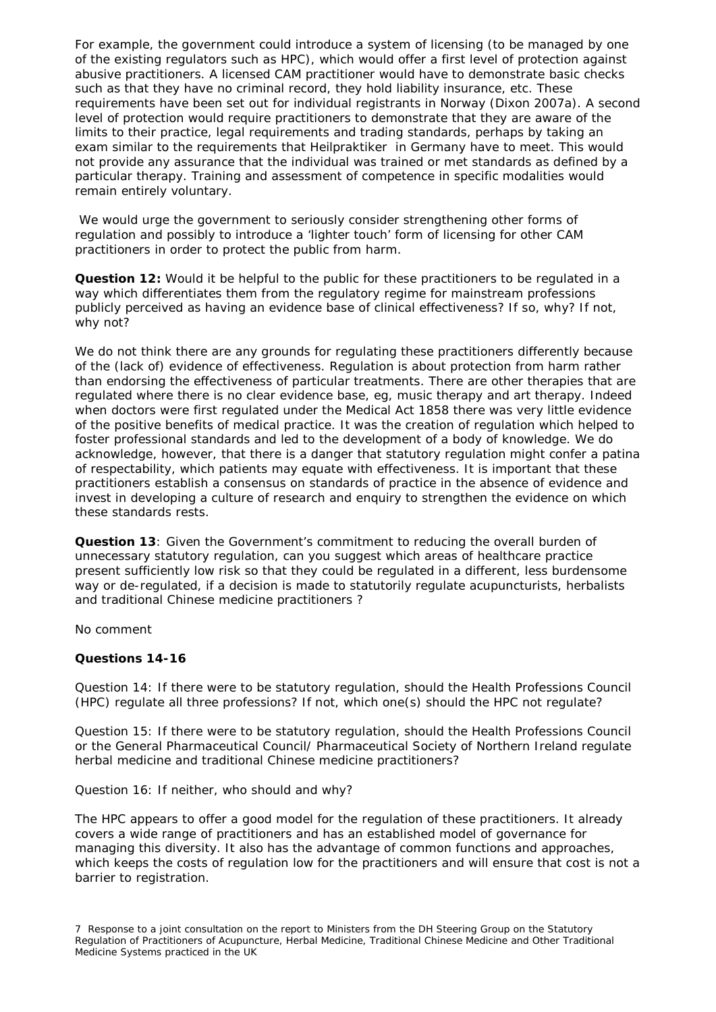For example, the government could introduce a system of licensing (to be managed by one of the existing regulators such as HPC), which would offer a first level of protection against abusive practitioners. A licensed CAM practitioner would have to demonstrate basic checks such as that they have no criminal record, they hold liability insurance, etc. These requirements have been set out for individual registrants in Norway (Dixon 2007a). A second level of protection would require practitioners to demonstrate that they are aware of the limits to their practice, legal requirements and trading standards, perhaps by taking an exam similar to the requirements that *Heilpraktiker* in Germany have to meet. This would not provide any assurance that the individual was trained or met standards as defined by a particular therapy. Training and assessment of competence in specific modalities would remain entirely voluntary.

We would urge the government to seriously consider strengthening other forms of regulation and possibly to introduce a 'lighter touch' form of licensing for other CAM practitioners in order to protect the public from harm.

**Question 12:** Would it be helpful to the public for these practitioners to be regulated in a way which differentiates them from the regulatory regime for mainstream professions publicly perceived as having an evidence base of clinical effectiveness? If so, why? If not, why not?

We do not think there are any grounds for regulating these practitioners differently because of the (lack of) evidence of effectiveness. Regulation is about protection from harm rather than endorsing the effectiveness of particular treatments. There are other therapies that are regulated where there is no clear evidence base, eg, music therapy and art therapy. Indeed when doctors were first regulated under the Medical Act 1858 there was very little evidence of the positive benefits of medical practice. It was the creation of regulation which helped to foster professional standards and led to the development of a body of knowledge. We do acknowledge, however, that there is a danger that statutory regulation might confer a patina of respectability, which patients may equate with effectiveness. It is important that these practitioners establish a consensus on standards of practice in the absence of evidence and invest in developing a culture of research and enquiry to strengthen the evidence on which these standards rests.

**Question 13**: Given the Government's commitment to reducing the overall burden of unnecessary statutory regulation, can you suggest which areas of healthcare practice present sufficiently low risk so that they could be regulated in a different, less burdensome way or de-regulated, if a decision is made to statutorily regulate acupuncturists, herbalists and traditional Chinese medicine practitioners ?

No comment

#### **Questions 14-16**

Question 14: If there were to be statutory regulation, should the Health Professions Council (HPC) regulate all three professions? If not, which one(s) should the HPC not regulate?

Question 15: If there were to be statutory regulation, should the Health Professions Council or the General Pharmaceutical Council/ Pharmaceutical Society of Northern Ireland regulate herbal medicine and traditional Chinese medicine practitioners?

Question 16: If neither, who should and why?

The HPC appears to offer a good model for the regulation of these practitioners. It already covers a wide range of practitioners and has an established model of governance for managing this diversity. It also has the advantage of common functions and approaches, which keeps the costs of regulation low for the practitioners and will ensure that cost is not a barrier to registration.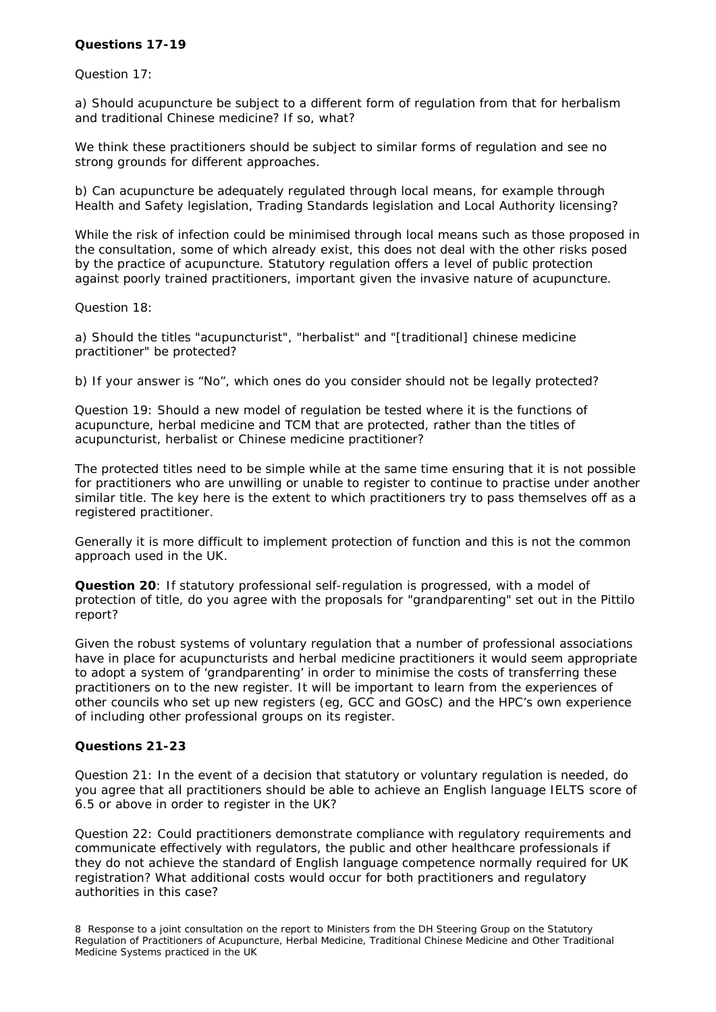# **Questions 17-19**

#### Question 17:

a) Should acupuncture be subject to a different form of regulation from that for herbalism and traditional Chinese medicine? If so, what?

We think these practitioners should be subject to similar forms of regulation and see no strong grounds for different approaches.

b) Can acupuncture be adequately regulated through local means, for example through Health and Safety legislation, Trading Standards legislation and Local Authority licensing?

While the risk of infection could be minimised through local means such as those proposed in the consultation, some of which already exist, this does not deal with the other risks posed by the practice of acupuncture. Statutory regulation offers a level of public protection against poorly trained practitioners, important given the invasive nature of acupuncture.

Question 18:

a) Should the titles "acupuncturist", "herbalist" and "[traditional] chinese medicine practitioner" be protected?

b) If your answer is "No", which ones do you consider should not be legally protected?

Question 19: Should a new model of regulation be tested where it is the functions of acupuncture, herbal medicine and TCM that are protected, rather than the titles of acupuncturist, herbalist or Chinese medicine practitioner?

The protected titles need to be simple while at the same time ensuring that it is not possible for practitioners who are unwilling or unable to register to continue to practise under another similar title. The key here is the extent to which practitioners try to pass themselves off as a registered practitioner.

Generally it is more difficult to implement protection of function and this is not the common approach used in the UK.

**Question 20**: If statutory professional self-regulation is progressed, with a model of protection of title, do you agree with the proposals for "grandparenting" set out in the Pittilo report?

Given the robust systems of voluntary regulation that a number of professional associations have in place for acupuncturists and herbal medicine practitioners it would seem appropriate to adopt a system of 'grandparenting' in order to minimise the costs of transferring these practitioners on to the new register. It will be important to learn from the experiences of other councils who set up new registers (eg, GCC and GOsC) and the HPC's own experience of including other professional groups on its register.

#### **Questions 21-23**

Question 21: In the event of a decision that statutory or voluntary regulation is needed, do you agree that all practitioners should be able to achieve an English language IELTS score of 6.5 or above in order to register in the UK?

Question 22: Could practitioners demonstrate compliance with regulatory requirements and communicate effectively with regulators, the public and other healthcare professionals if they do not achieve the standard of English language competence normally required for UK registration? What additional costs would occur for both practitioners and regulatory authorities in this case?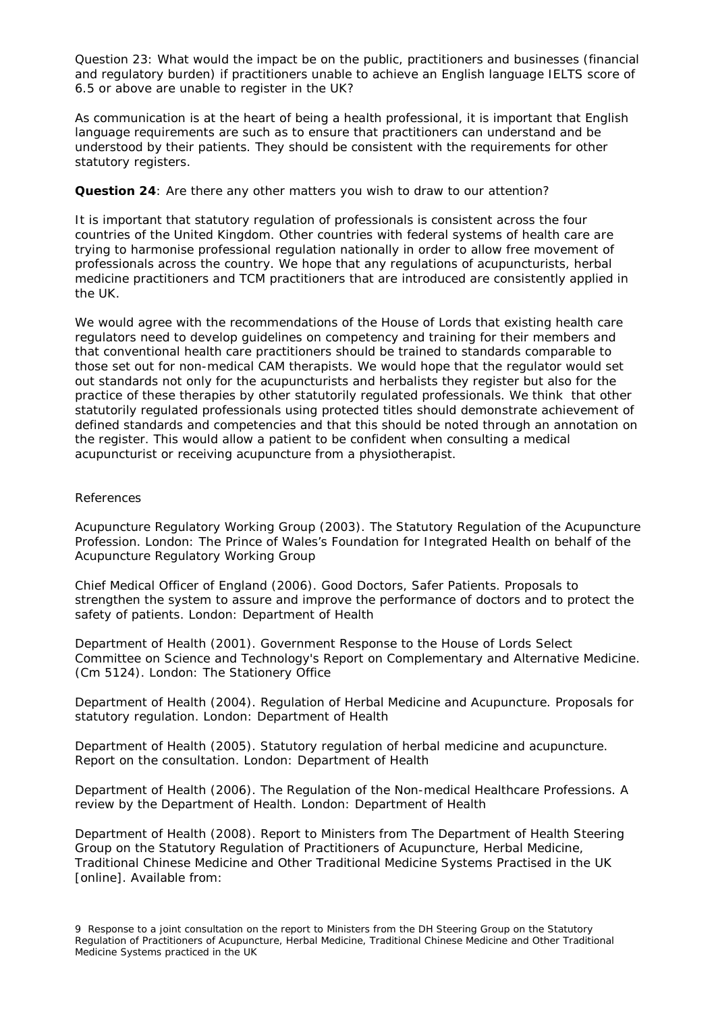Question 23: What would the impact be on the public, practitioners and businesses (financial and regulatory burden) if practitioners unable to achieve an English language IELTS score of 6.5 or above are unable to register in the UK?

As communication is at the heart of being a health professional, it is important that English language requirements are such as to ensure that practitioners can understand and be understood by their patients. They should be consistent with the requirements for other statutory registers.

# **Question 24**: Are there any other matters you wish to draw to our attention?

It is important that statutory regulation of professionals is consistent across the four countries of the United Kingdom. Other countries with federal systems of health care are trying to harmonise professional regulation nationally in order to allow free movement of professionals across the country. We hope that any regulations of acupuncturists, herbal medicine practitioners and TCM practitioners that are introduced are consistently applied in the UK.

We would agree with the recommendations of the House of Lords that existing health care regulators need to develop guidelines on competency and training for their members and that conventional health care practitioners should be trained to standards comparable to those set out for non-medical CAM therapists. We would hope that the regulator would set out standards not only for the acupuncturists and herbalists they register but also for the practice of these therapies by other statutorily regulated professionals. We think that other statutorily regulated professionals using protected titles should demonstrate achievement of defined standards and competencies and that this should be noted through an annotation on the register. This would allow a patient to be confident when consulting a medical acupuncturist or receiving acupuncture from a physiotherapist.

# References

Acupuncture Regulatory Working Group (2003). *The Statutory Regulation of the Acupuncture Profession*. London: The Prince of Wales's Foundation for Integrated Health on behalf of the Acupuncture Regulatory Working Group

Chief Medical Officer of England (2006). *Good Doctors, Safer Patients. Proposals to strengthen the system to assure and improve the performance of doctors and to protect the safety of patients*. London: Department of Health

Department of Health (2001). *Government Response to the House of Lords Select Committee on Science and Technology's Report on Complementary and Alternative Medicine*. (Cm 5124). London: The Stationery Office

Department of Health (2004). *Regulation of Herbal Medicine and Acupuncture. Proposals for statutory regulation*. London: Department of Health

Department of Health (2005). Statutory regulation of herbal medicine and acupuncture. Report on the consultation. London: Department of Health

Department of Health (2006). *The Regulation of the Non-medical Healthcare Professions. A review by the Department of Health*. London: Department of Health

Department of Health (2008). *Report to Ministers from The Department of Health Steering Group on the Statutory Regulation of Practitioners of Acupuncture, Herbal Medicine, Traditional Chinese Medicine and Other Traditional Medicine Systems Practised in the UK* [online]. Available from: